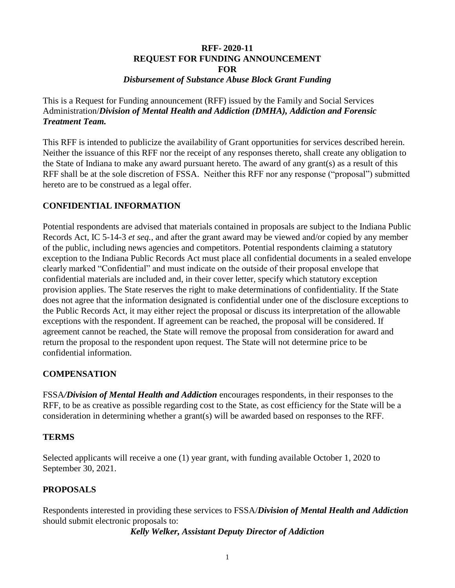### **RFF- 2020-11 REQUEST FOR FUNDING ANNOUNCEMENT FOR** *Disbursement of Substance Abuse Block Grant Funding*

This is a Request for Funding announcement (RFF) issued by the Family and Social Services Administration/*Division of Mental Health and Addiction (DMHA), Addiction and Forensic Treatment Team.*

This RFF is intended to publicize the availability of Grant opportunities for services described herein. Neither the issuance of this RFF nor the receipt of any responses thereto, shall create any obligation to the State of Indiana to make any award pursuant hereto. The award of any grant(s) as a result of this RFF shall be at the sole discretion of FSSA. Neither this RFF nor any response ("proposal") submitted hereto are to be construed as a legal offer.

# **CONFIDENTIAL INFORMATION**

Potential respondents are advised that materials contained in proposals are subject to the Indiana Public Records Act, IC 5-14-3 *et seq.*, and after the grant award may be viewed and/or copied by any member of the public, including news agencies and competitors. Potential respondents claiming a statutory exception to the Indiana Public Records Act must place all confidential documents in a sealed envelope clearly marked "Confidential" and must indicate on the outside of their proposal envelope that confidential materials are included and, in their cover letter, specify which statutory exception provision applies. The State reserves the right to make determinations of confidentiality. If the State does not agree that the information designated is confidential under one of the disclosure exceptions to the Public Records Act, it may either reject the proposal or discuss its interpretation of the allowable exceptions with the respondent. If agreement can be reached, the proposal will be considered. If agreement cannot be reached, the State will remove the proposal from consideration for award and return the proposal to the respondent upon request. The State will not determine price to be confidential information.

## **COMPENSATION**

FSSA*/Division of Mental Health and Addiction* encourages respondents, in their responses to the RFF, to be as creative as possible regarding cost to the State, as cost efficiency for the State will be a consideration in determining whether a grant(s) will be awarded based on responses to the RFF.

## **TERMS**

Selected applicants will receive a one (1) year grant, with funding available October 1, 2020 to September 30, 2021.

## **PROPOSALS**

Respondents interested in providing these services to FSSA/*Division of Mental Health and Addiction* should submit electronic proposals to:

*Kelly Welker, Assistant Deputy Director of Addiction*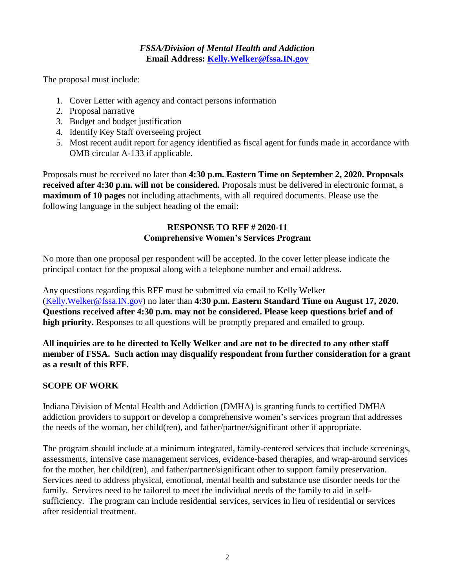## *FSSA/Division of Mental Health and Addiction* **Email Address: [Kelly.Welker@fssa.IN.gov](mailto:Kelly.Welker@fssa.IN.gov)**

The proposal must include:

- 1. Cover Letter with agency and contact persons information
- 2. Proposal narrative
- 3. Budget and budget justification
- 4. Identify Key Staff overseeing project
- 5. Most recent audit report for agency identified as fiscal agent for funds made in accordance with OMB circular A-133 if applicable.

Proposals must be received no later than **4:30 p.m. Eastern Time on September 2, 2020. Proposals received after 4:30 p.m. will not be considered.** Proposals must be delivered in electronic format, a **maximum of 10 pages** not including attachments, with all required documents. Please use the following language in the subject heading of the email:

# **RESPONSE TO RFF # 2020-11 Comprehensive Women's Services Program**

No more than one proposal per respondent will be accepted. In the cover letter please indicate the principal contact for the proposal along with a telephone number and email address.

Any questions regarding this RFF must be submitted via email to Kelly Welker [\(Kelly.Welker@fssa.IN.gov\)](mailto:Kelly.Welker@fssa.IN.gov) no later than **4:30 p.m. Eastern Standard Time on August 17, 2020. Questions received after 4:30 p.m. may not be considered. Please keep questions brief and of high priority.** Responses to all questions will be promptly prepared and emailed to group.

**All inquiries are to be directed to Kelly Welker and are not to be directed to any other staff member of FSSA. Such action may disqualify respondent from further consideration for a grant as a result of this RFF.**

# **SCOPE OF WORK**

Indiana Division of Mental Health and Addiction (DMHA) is granting funds to certified DMHA addiction providers to support or develop a comprehensive women's services program that addresses the needs of the woman, her child(ren), and father/partner/significant other if appropriate.

The program should include at a minimum integrated, family-centered services that include screenings, assessments, intensive case management services, evidence-based therapies, and wrap-around services for the mother, her child(ren), and father/partner/significant other to support family preservation. Services need to address physical, emotional, mental health and substance use disorder needs for the family. Services need to be tailored to meet the individual needs of the family to aid in selfsufficiency. The program can include residential services, services in lieu of residential or services after residential treatment.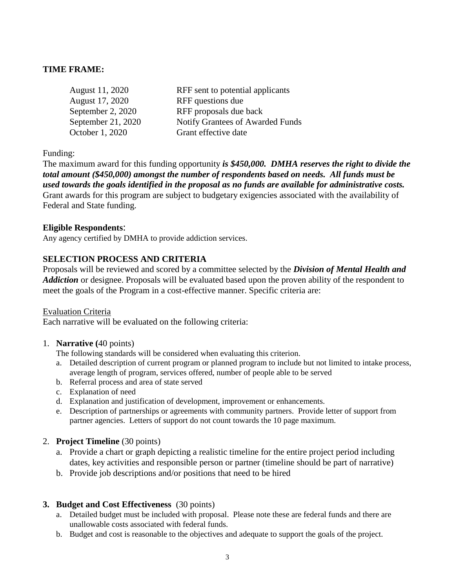## **TIME FRAME:**

| August 11, 2020    | RFF sent to potential applicants |
|--------------------|----------------------------------|
| August 17, 2020    | RFF questions due                |
| September 2, 2020  | RFF proposals due back           |
| September 21, 2020 | Notify Grantees of Awarded Funds |
| October 1, 2020    | Grant effective date             |

Funding:

The maximum award for this funding opportunity *is \$450,000. DMHA reserves the right to divide the total amount (\$450,000) amongst the number of respondents based on needs. All funds must be used towards the goals identified in the proposal as no funds are available for administrative costs.*  Grant awards for this program are subject to budgetary exigencies associated with the availability of Federal and State funding.

#### **Eligible Respondents**:

Any agency certified by DMHA to provide addiction services.

#### **SELECTION PROCESS AND CRITERIA**

Proposals will be reviewed and scored by a committee selected by the *Division of Mental Health and Addiction* or designee. Proposals will be evaluated based upon the proven ability of the respondent to meet the goals of the Program in a cost-effective manner. Specific criteria are:

#### Evaluation Criteria

Each narrative will be evaluated on the following criteria:

#### 1. **Narrative (**40 points)

The following standards will be considered when evaluating this criterion.

- a. Detailed description of current program or planned program to include but not limited to intake process, average length of program, services offered, number of people able to be served
- b. Referral process and area of state served
- c. Explanation of need
- d. Explanation and justification of development, improvement or enhancements.
- e. Description of partnerships or agreements with community partners. Provide letter of support from partner agencies. Letters of support do not count towards the 10 page maximum.

#### 2. **Project Timeline** (30 points)

- a. Provide a chart or graph depicting a realistic timeline for the entire project period including dates, key activities and responsible person or partner (timeline should be part of narrative)
- b. Provide job descriptions and/or positions that need to be hired

#### **3. Budget and Cost Effectiveness** (30 points)

- a. Detailed budget must be included with proposal. Please note these are federal funds and there are unallowable costs associated with federal funds.
- b. Budget and cost is reasonable to the objectives and adequate to support the goals of the project.